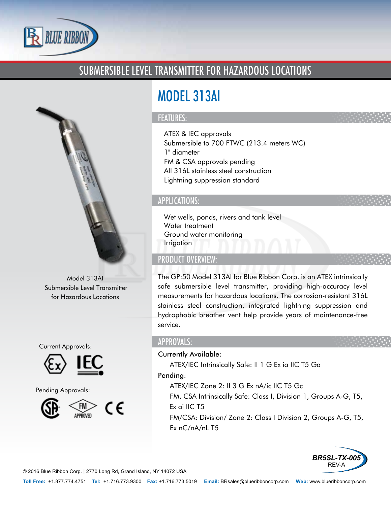

## SUBMERSIBLE LEVEL TRANSMITTER FOR HAZARDOUS LOCATIONS



Model 313AI Submersible Level Transmitter for Hazardous Locations

Current Approvals:



Pending Approvals:



# MODEL 313AI

#### FEATURES:

- ATEX & IEC approvals
- Submersible to 700 FTWC (213.4 meters WC)
- 1" diameter
- FM & CSA approvals pending
- All 316L stainless steel construction
- Lightning suppression standard

#### APPLICATIONS:

- Wet wells, ponds, rivers and tank level
- Water treatment
- Ground water monitoring
- Irrigation

### PRODUCT OVERVIEW:

The GP:50 Model 313AI for Blue Ribbon Corp. is an ATEX intrinsically safe submersible level transmitter, providing high-accuracy level measurements for hazardous locations. The corrosion-resistant 316L stainless steel construction, integrated lightning suppression and hydrophobic breather vent help provide years of maintenance-free service.

#### APPROVALS:

#### Currently Available:

- ATEX/IEC Intrinsically Safe: II 1 G Ex ia IIC T5 Ga Pending:
	- ATEX/IEC Zone 2: II 3 G Ex nA/ic IIC T5 Gc
	- FM, CSA Intrinsically Safe: Class I, Division 1, Groups A-G, T5, Ex ai IIC T5
	- FM/CSA: Division/ Zone 2: Class I Division 2, Groups A-G, T5, Ex nC/nA/nL T5



© 2016 Blue Ribbon Corp. *|* 2770 Long Rd, Grand Island, NY 14072 USA